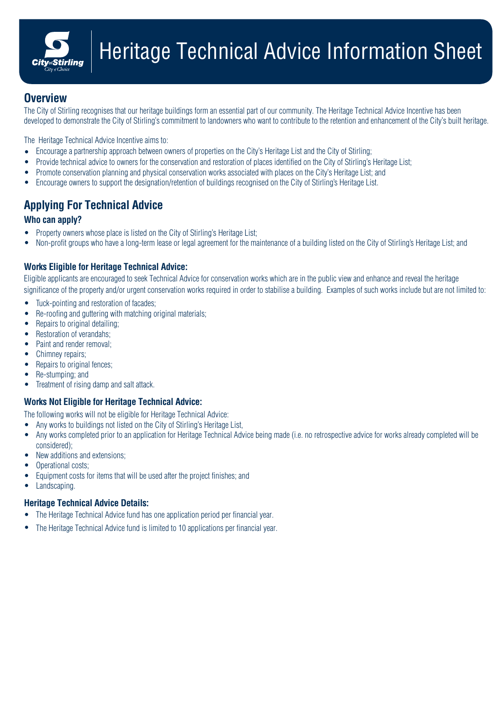

## **Overview**

The City of Stirling recognises that our heritage buildings form an essential part of our community. The Heritage Technical Advice Incentive has been developed to demonstrate the City of Stirling's commitment to landowners who want to contribute to the retention and enhancement of the City's built heritage.

The Heritage Technical Advice Incentive aims to:

- Encourage a partnership approach between owners of properties on the City's Heritage List and the City of Stirling;
- Provide technical advice to owners for the conservation and restoration of places identified on the City of Stirling's Heritage List;
- Promote conservation planning and physical conservation works associated with places on the City's Heritage List; and •
- Encourage owners to support the designation/retention of buildings recognised on the City of Stirling's Heritage List.

# **Applying For Technical Advice**

### **Who can apply?**

- Property owners whose place is listed on the City of Stirling's Heritage List;
- Non-profit groups who have a long-term lease or legal agreement for the maintenance of a building listed on the City of Stirling's Heritage List; and

### **Works Eligible for Heritage Technical Advice:**

Eligible applicants are encouraged to seek Technical Advice for conservation works which are in the public view and enhance and reveal the heritage significance of the property and/or urgent conservation works required in order to stabilise a building. Examples of such works include but are not limited to:

- Tuck-pointing and restoration of facades;
- Re-roofing and guttering with matching original materials;
- Repairs to original detailing;
- Restoration of verandahs;
- Paint and render removal;
- Chimney repairs;
- Repairs to original fences;
- Re-stumping; and
- Treatment of rising damp and salt attack.

### **Works Not Eligible for Heritage Technical Advice:**

The following works will not be eligible for Heritage Technical Advice:

- Any works to buildings not listed on the City of Stirling's Heritage List,
- Any works completed prior to an application for Heritage Technical Advice being made (i.e. no retrospective advice for works already completed will be considered);
- New additions and extensions;
- Operational costs;
- Equipment costs for items that will be used after the project finishes; and
- Landscaping.

### **Heritage Technical Advice Details:**

- The Heritage Technical Advice fund has one application period per financial year.
- The Heritage Technical Advice fund is limited to 10 applications per financial year.